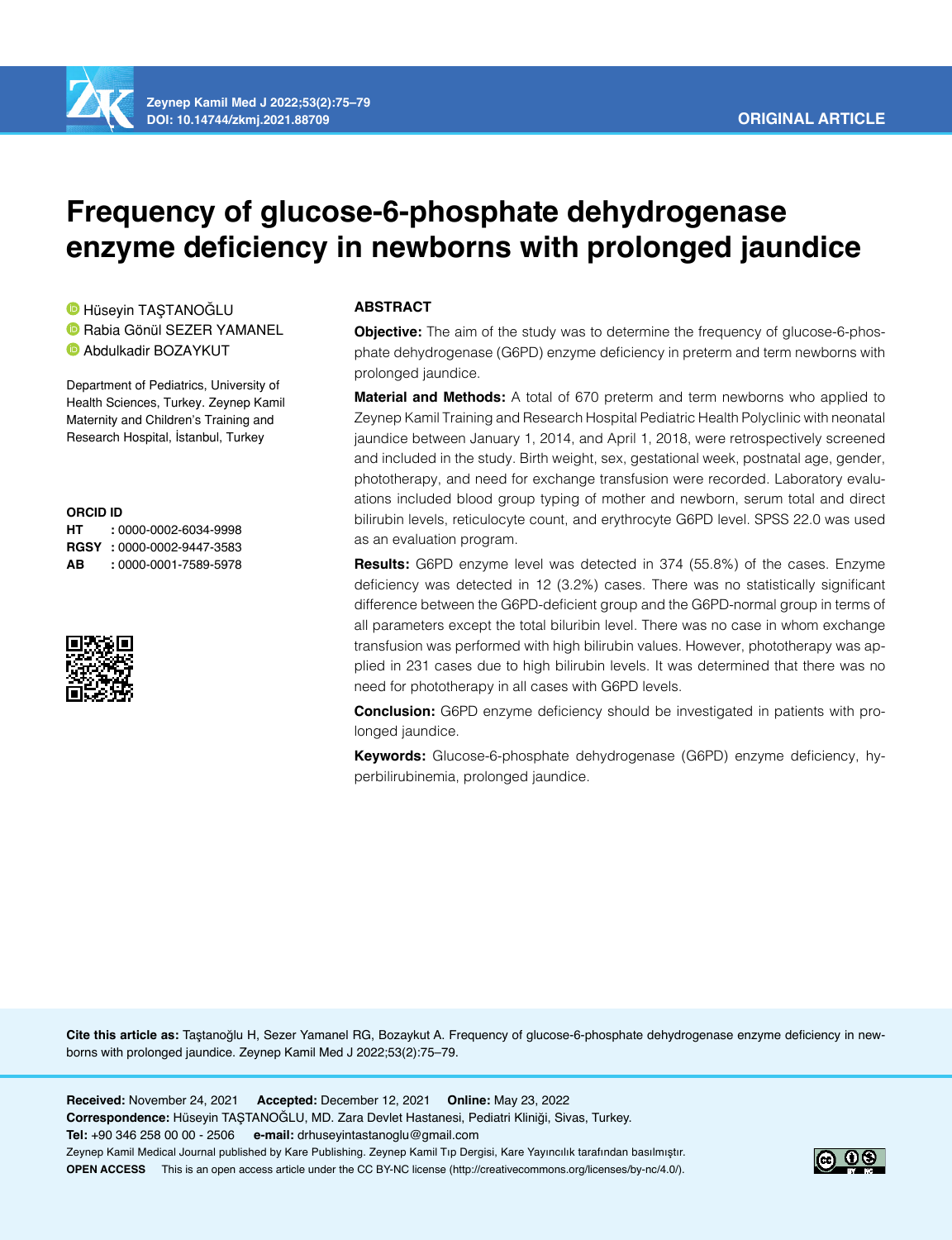

**Zeynep Kamil Med J 2022;53(2):75–79 DOI: 10.14744/zkmj.2021.88709**

# **Frequency of glucose-6-phosphate dehydrogenase enzyme deficiency in newborns with prolonged jaundice**

**D**Hüseyin TASTANOĞLU **D**Rabia Gönül SEZER YAMANEL Abdulkadir BOZAYKUT

Department of Pediatrics, University of Health Sciences, Turkey. Zeynep Kamil Maternity and Children's Training and Research Hospital, İstanbul, Turkey

#### **ORCID ID**

**HT :** 0000-0002-6034-9998 **RGSY :** 0000-0002-9447-3583 **AB :** 0000-0001-7589-5978



# **ABSTRACT**

**Objective:** The aim of the study was to determine the frequency of glucose-6-phosphate dehydrogenase (G6PD) enzyme deficiency in preterm and term newborns with prolonged jaundice.

**Material and Methods:** A total of 670 preterm and term newborns who applied to Zeynep Kamil Training and Research Hospital Pediatric Health Polyclinic with neonatal jaundice between January 1, 2014, and April 1, 2018, were retrospectively screened and included in the study. Birth weight, sex, gestational week, postnatal age, gender, phototherapy, and need for exchange transfusion were recorded. Laboratory evaluations included blood group typing of mother and newborn, serum total and direct bilirubin levels, reticulocyte count, and erythrocyte G6PD level. SPSS 22.0 was used as an evaluation program.

**Results:** G6PD enzyme level was detected in 374 (55.8%) of the cases. Enzyme deficiency was detected in 12 (3.2%) cases. There was no statistically significant difference between the G6PD-deficient group and the G6PD-normal group in terms of all parameters except the total biluribin level. There was no case in whom exchange transfusion was performed with high bilirubin values. However, phototherapy was applied in 231 cases due to high bilirubin levels. It was determined that there was no need for phototherapy in all cases with G6PD levels.

**Conclusion:** G6PD enzyme deficiency should be investigated in patients with prolonged jaundice.

**Keywords:** Glucose-6-phosphate dehydrogenase (G6PD) enzyme deficiency, hyperbilirubinemia, prolonged jaundice.

**Cite this article as:** Taştanoğlu H, Sezer Yamanel RG, Bozaykut A. Frequency of glucose-6-phosphate dehydrogenase enzyme deficiency in newborns with prolonged jaundice. Zeynep Kamil Med J 2022;53(2):75–79.

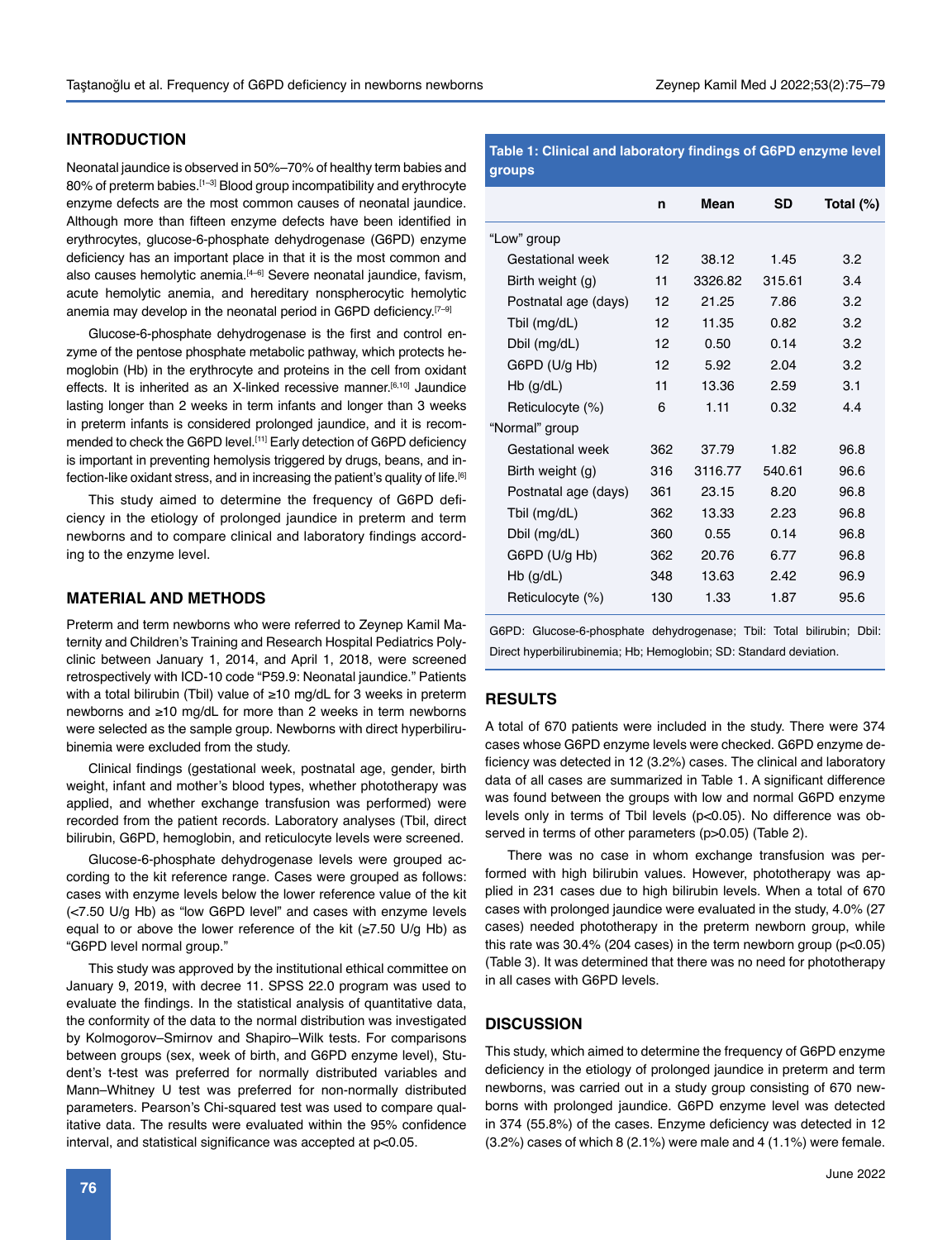## **INTRODUCTION**

Neonatal jaundice is observed in 50%–70% of healthy term babies and 80% of preterm babies.<sup>[1-3]</sup> Blood group incompatibility and erythrocyte enzyme defects are the most common causes of neonatal jaundice. Although more than fifteen enzyme defects have been identified in erythrocytes, glucose-6-phosphate dehydrogenase (G6PD) enzyme deficiency has an important place in that it is the most common and also causes hemolytic anemia.<sup>[4-6]</sup> Severe neonatal jaundice, favism, acute hemolytic anemia, and hereditary nonspherocytic hemolytic anemia may develop in the neonatal period in G6PD deficiency.<sup>[7-9]</sup>

Glucose-6-phosphate dehydrogenase is the first and control enzyme of the pentose phosphate metabolic pathway, which protects hemoglobin (Hb) in the erythrocyte and proteins in the cell from oxidant effects. It is inherited as an X-linked recessive manner.<sup>[6,10]</sup> Jaundice lasting longer than 2 weeks in term infants and longer than 3 weeks in preterm infants is considered prolonged jaundice, and it is recommended to check the G6PD level.<sup>[11]</sup> Early detection of G6PD deficiency is important in preventing hemolysis triggered by drugs, beans, and infection-like oxidant stress, and in increasing the patient's quality of life.[6]

This study aimed to determine the frequency of G6PD deficiency in the etiology of prolonged jaundice in preterm and term newborns and to compare clinical and laboratory findings according to the enzyme level.

### **MATERIAL AND METHODS**

Preterm and term newborns who were referred to Zeynep Kamil Maternity and Children's Training and Research Hospital Pediatrics Polyclinic between January 1, 2014, and April 1, 2018, were screened retrospectively with ICD-10 code "P59.9: Neonatal jaundice." Patients with a total bilirubin (Tbil) value of ≥10 mg/dL for 3 weeks in preterm newborns and ≥10 mg/dL for more than 2 weeks in term newborns were selected as the sample group. Newborns with direct hyperbilirubinemia were excluded from the study.

Clinical findings (gestational week, postnatal age, gender, birth weight, infant and mother's blood types, whether phototherapy was applied, and whether exchange transfusion was performed) were recorded from the patient records. Laboratory analyses (Tbil, direct bilirubin, G6PD, hemoglobin, and reticulocyte levels were screened.

Glucose-6-phosphate dehydrogenase levels were grouped according to the kit reference range. Cases were grouped as follows: cases with enzyme levels below the lower reference value of the kit (<7.50 U/g Hb) as "low G6PD level" and cases with enzyme levels equal to or above the lower reference of the kit (≥7.50 U/g Hb) as "G6PD level normal group."

This study was approved by the institutional ethical committee on January 9, 2019, with decree 11. SPSS 22.0 program was used to evaluate the findings. In the statistical analysis of quantitative data, the conformity of the data to the normal distribution was investigated by Kolmogorov–Smirnov and Shapiro–Wilk tests. For comparisons between groups (sex, week of birth, and G6PD enzyme level), Student's t-test was preferred for normally distributed variables and Mann–Whitney U test was preferred for non-normally distributed parameters. Pearson's Chi-squared test was used to compare qualitative data. The results were evaluated within the 95% confidence interval, and statistical significance was accepted at p<0.05.

## **Table 1: Clinical and laboratory findings of G6PD enzyme level groups**

|                      | n   | Mean    | <b>SD</b> | Total (%) |
|----------------------|-----|---------|-----------|-----------|
| "Low" group          |     |         |           |           |
| Gestational week     | 12  | 38.12   | 1.45      | 3.2       |
| Birth weight (g)     | 11  | 3326.82 | 315.61    | 3.4       |
| Postnatal age (days) | 12  | 21.25   | 7.86      | 3.2       |
| Tbil (mg/dL)         | 12  | 11.35   | 0.82      | 3.2       |
| Dbil (mg/dL)         | 12  | 0.50    | 0.14      | 3.2       |
| G6PD (U/g Hb)        | 12  | 5.92    | 2.04      | 3.2       |
| $Hb$ (g/dL)          | 11  | 13.36   | 2.59      | 3.1       |
| Reticulocyte (%)     | 6   | 1.11    | 0.32      | 44        |
| "Normal" group       |     |         |           |           |
| Gestational week     | 362 | 37.79   | 1.82      | 96.8      |
| Birth weight (g)     | 316 | 3116.77 | 540.61    | 96.6      |
| Postnatal age (days) | 361 | 23.15   | 8.20      | 96.8      |
| Tbil (mg/dL)         | 362 | 13.33   | 2.23      | 96.8      |
| Dbil (mg/dL)         | 360 | 0.55    | 0.14      | 96.8      |
| G6PD (U/g Hb)        | 362 | 20.76   | 6.77      | 96.8      |
| $Hb$ (g/dL)          | 348 | 13.63   | 2.42      | 96.9      |
| Reticulocyte (%)     | 130 | 1.33    | 1.87      | 95.6      |
|                      |     |         |           |           |

G6PD: Glucose-6-phosphate dehydrogenase; Tbil: Total bilirubin; Dbil: Direct hyperbilirubinemia; Hb; Hemoglobin; SD: Standard deviation.

#### **RESULTS**

A total of 670 patients were included in the study. There were 374 cases whose G6PD enzyme levels were checked. G6PD enzyme deficiency was detected in 12 (3.2%) cases. The clinical and laboratory data of all cases are summarized in Table 1. A significant difference was found between the groups with low and normal G6PD enzyme levels only in terms of Tbil levels (p<0.05). No difference was observed in terms of other parameters (p>0.05) (Table 2).

There was no case in whom exchange transfusion was performed with high bilirubin values. However, phototherapy was applied in 231 cases due to high bilirubin levels. When a total of 670 cases with prolonged jaundice were evaluated in the study, 4.0% (27 cases) needed phototherapy in the preterm newborn group, while this rate was  $30.4\%$  (204 cases) in the term newborn group ( $p<0.05$ ) (Table 3). It was determined that there was no need for phototherapy in all cases with G6PD levels.

## **DISCUSSION**

This study, which aimed to determine the frequency of G6PD enzyme deficiency in the etiology of prolonged jaundice in preterm and term newborns, was carried out in a study group consisting of 670 newborns with prolonged jaundice. G6PD enzyme level was detected in 374 (55.8%) of the cases. Enzyme deficiency was detected in 12 (3.2%) cases of which 8 (2.1%) were male and 4 (1.1%) were female.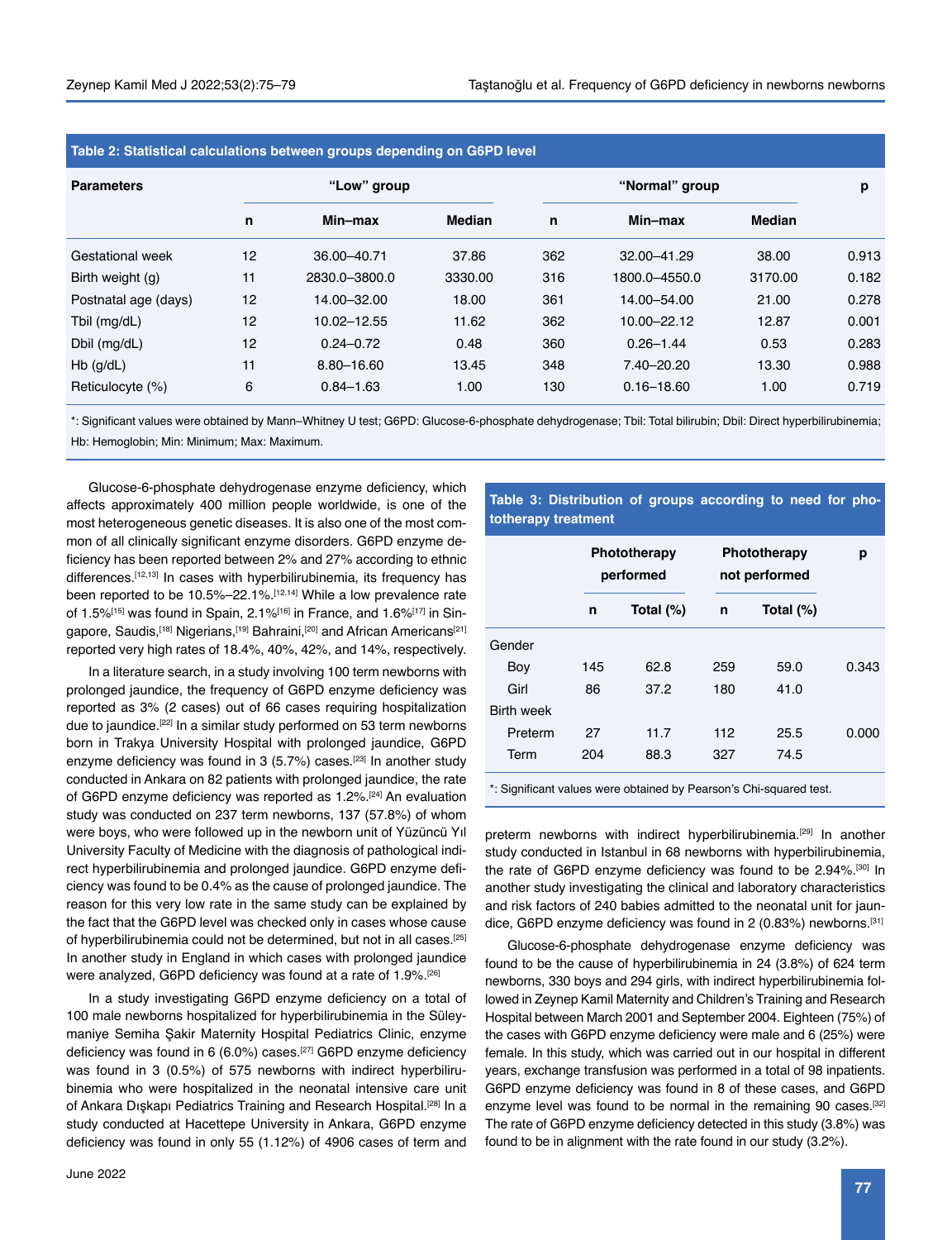| Table 2: Statistical calculations between groups depending on G6PD level |             |               |               |                |                |               |       |  |
|--------------------------------------------------------------------------|-------------|---------------|---------------|----------------|----------------|---------------|-------|--|
| <b>Parameters</b>                                                        | "Low" group |               |               | "Normal" group |                |               | р     |  |
|                                                                          | n           | Min–max       | <b>Median</b> | n              | Min-max        | <b>Median</b> |       |  |
| Gestational week                                                         | 12          | 36.00-40.71   | 37.86         | 362            | 32.00-41.29    | 38.00         | 0.913 |  |
| Birth weight (g)                                                         | 11          | 2830.0-3800.0 | 3330.00       | 316            | 1800.0-4550.0  | 3170.00       | 0.182 |  |
| Postnatal age (days)                                                     | 12          | 14.00-32.00   | 18.00         | 361            | 14.00-54.00    | 21.00         | 0.278 |  |
| Tbil (mg/dL)                                                             | 12          | 10.02-12.55   | 11.62         | 362            | 10.00-22.12    | 12.87         | 0.001 |  |
| Dbil (mg/dL)                                                             | 12          | $0.24 - 0.72$ | 0.48          | 360            | $0.26 - 1.44$  | 0.53          | 0.283 |  |
| $Hb$ (g/dL)                                                              | 11          | 8.80-16.60    | 13.45         | 348            | $7.40 - 20.20$ | 13.30         | 0.988 |  |
| Reticulocyte (%)                                                         | 6           | $0.84 - 1.63$ | 1.00          | 130            | $0.16 - 18.60$ | 1.00          | 0.719 |  |

\*: Significant values were obtained by Mann–Whitney U test; G6PD: Glucose-6-phosphate dehydrogenase; Tbil: Total bilirubin; Dbil: Direct hyperbilirubinemia;

Hb: Hemoglobin; Min: Minimum; Max: Maximum.

Glucose-6-phosphate dehydrogenase enzyme deficiency, which affects approximately 400 million people worldwide, is one of the most heterogeneous genetic diseases. It is also one of the most common of all clinically significant enzyme disorders. G6PD enzyme deficiency has been reported between 2% and 27% according to ethnic differences.<sup>[12,13]</sup> In cases with hyperbilirubinemia, its frequency has been reported to be 10.5%–22.1%.[12,14] While a low prevalence rate of 1.5%<sup>[15]</sup> was found in Spain, 2.1%<sup>[16]</sup> in France, and 1.6%<sup>[17]</sup> in Singapore, Saudis,<sup>[18]</sup> Nigerians,<sup>[19]</sup> Bahraini,<sup>[20]</sup> and African Americans<sup>[21]</sup> reported very high rates of 18.4%, 40%, 42%, and 14%, respectively.

In a literature search, in a study involving 100 term newborns with prolonged jaundice, the frequency of G6PD enzyme deficiency was reported as 3% (2 cases) out of 66 cases requiring hospitalization due to jaundice.<sup>[22]</sup> In a similar study performed on 53 term newborns born in Trakya University Hospital with prolonged jaundice, G6PD enzyme deficiency was found in  $3$  (5.7%) cases.<sup>[23]</sup> In another study conducted in Ankara on 82 patients with prolonged jaundice, the rate of G6PD enzyme deficiency was reported as 1.2%.<sup>[24]</sup> An evaluation study was conducted on 237 term newborns, 137 (57.8%) of whom were boys, who were followed up in the newborn unit of Yüzüncü Yıl University Faculty of Medicine with the diagnosis of pathological indirect hyperbilirubinemia and prolonged jaundice. G6PD enzyme deficiency was found to be 0.4% as the cause of prolonged jaundice. The reason for this very low rate in the same study can be explained by the fact that the G6PD level was checked only in cases whose cause of hyperbilirubinemia could not be determined, but not in all cases.[25] In another study in England in which cases with prolonged jaundice were analyzed, G6PD deficiency was found at a rate of 1.9%.[26]

In a study investigating G6PD enzyme deficiency on a total of 100 male newborns hospitalized for hyperbilirubinemia in the Süleymaniye Semiha Şakir Maternity Hospital Pediatrics Clinic, enzyme deficiency was found in 6 (6.0%) cases.<sup>[27]</sup> G6PD enzyme deficiency was found in 3 (0.5%) of 575 newborns with indirect hyperbilirubinemia who were hospitalized in the neonatal intensive care unit of Ankara Dışkapı Pediatrics Training and Research Hospital.<sup>[28]</sup> In a study conducted at Hacettepe University in Ankara, G6PD enzyme deficiency was found in only 55 (1.12%) of 4906 cases of term and

## **Table 3: Distribution of groups according to need for phototherapy treatment**

|                   |     | Phototherapy<br>performed |     | Phototherapy<br>not performed |       |
|-------------------|-----|---------------------------|-----|-------------------------------|-------|
|                   | n   | Total (%)                 | n   | Total (%)                     |       |
| Gender            |     |                           |     |                               |       |
| Boy               | 145 | 62.8                      | 259 | 59.0                          | 0.343 |
| Girl              | 86  | 37.2                      | 180 | 41.0                          |       |
| <b>Birth week</b> |     |                           |     |                               |       |
| Preterm           | 27  | 11.7                      | 112 | 25.5                          | 0.000 |
| Term              | 204 | 88.3                      | 327 | 74.5                          |       |

\*: Significant values were obtained by Pearson's Chi-squared test.

preterm newborns with indirect hyperbilirubinemia.<sup>[29]</sup> In another study conducted in Istanbul in 68 newborns with hyperbilirubinemia, the rate of G6PD enzyme deficiency was found to be 2.94%.[30] In another study investigating the clinical and laboratory characteristics and risk factors of 240 babies admitted to the neonatal unit for jaundice, G6PD enzyme deficiency was found in 2 (0.83%) newborns.<sup>[31]</sup>

Glucose-6-phosphate dehydrogenase enzyme deficiency was found to be the cause of hyperbilirubinemia in 24 (3.8%) of 624 term newborns, 330 boys and 294 girls, with indirect hyperbilirubinemia followed in Zeynep Kamil Maternity and Children's Training and Research Hospital between March 2001 and September 2004. Eighteen (75%) of the cases with G6PD enzyme deficiency were male and 6 (25%) were female. In this study, which was carried out in our hospital in different years, exchange transfusion was performed in a total of 98 inpatients. G6PD enzyme deficiency was found in 8 of these cases, and G6PD enzyme level was found to be normal in the remaining 90 cases.<sup>[32]</sup> The rate of G6PD enzyme deficiency detected in this study (3.8%) was found to be in alignment with the rate found in our study (3.2%).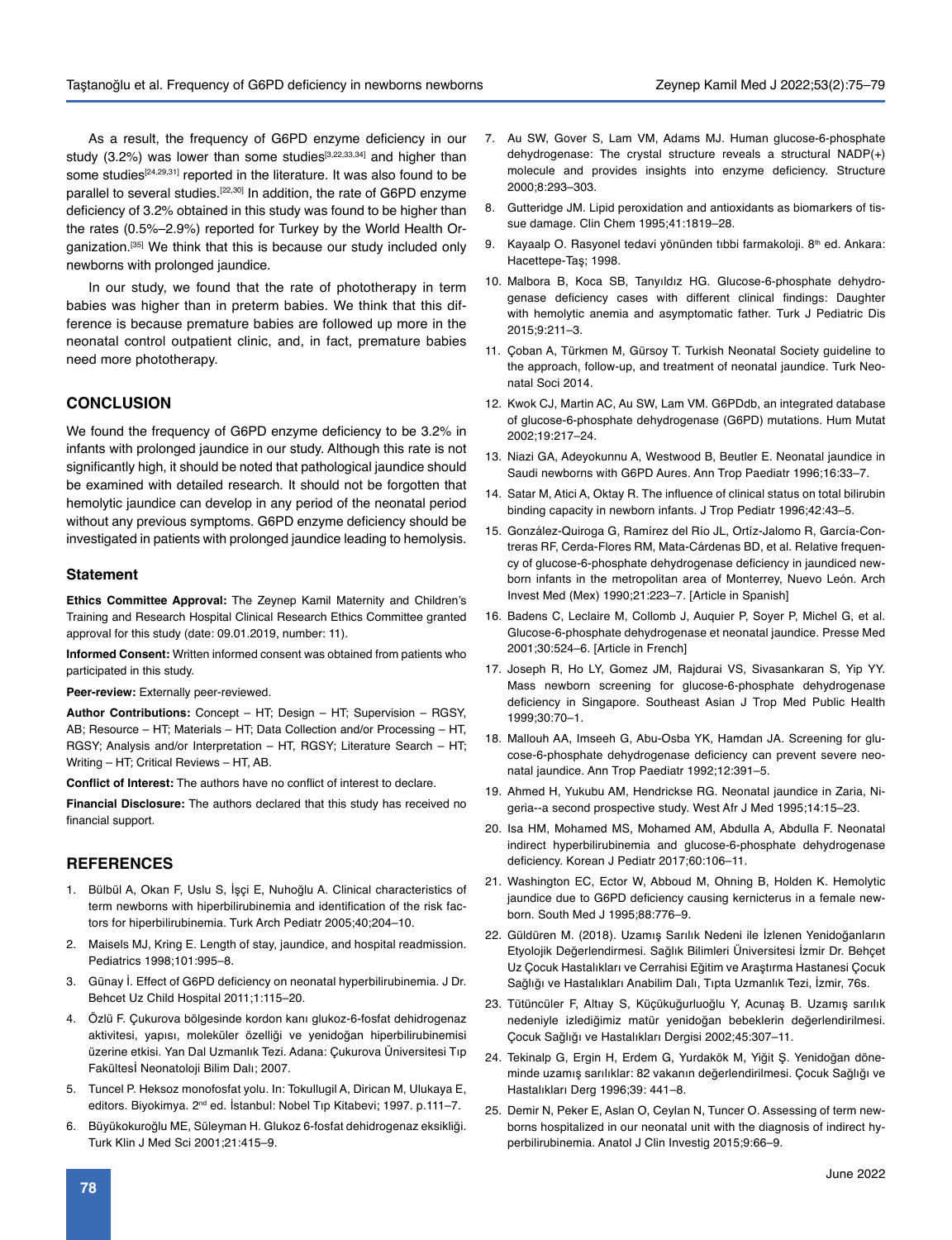As a result, the frequency of G6PD enzyme deficiency in our study  $(3.2%)$  was lower than some studies<sup>[3,22,33,34]</sup> and higher than some studies<sup>[24,29,31]</sup> reported in the literature. It was also found to be parallel to several studies.<sup>[22,30]</sup> In addition, the rate of G6PD enzyme deficiency of 3.2% obtained in this study was found to be higher than the rates (0.5%–2.9%) reported for Turkey by the World Health Organization.<sup>[35]</sup> We think that this is because our study included only newborns with prolonged jaundice.

In our study, we found that the rate of phototherapy in term babies was higher than in preterm babies. We think that this difference is because premature babies are followed up more in the neonatal control outpatient clinic, and, in fact, premature babies need more phototherapy.

## **CONCLUSION**

We found the frequency of G6PD enzyme deficiency to be 3.2% in infants with prolonged jaundice in our study. Although this rate is not significantly high, it should be noted that pathological jaundice should be examined with detailed research. It should not be forgotten that hemolytic jaundice can develop in any period of the neonatal period without any previous symptoms. G6PD enzyme deficiency should be investigated in patients with prolonged jaundice leading to hemolysis.

#### **Statement**

**Ethics Committee Approval:** The Zeynep Kamil Maternity and Children's Training and Research Hospital Clinical Research Ethics Committee granted approval for this study (date: 09.01.2019, number: 11).

**Informed Consent:** Written informed consent was obtained from patients who participated in this study.

**Peer-review:** Externally peer-reviewed.

**Author Contributions:** Concept – HT; Design – HT; Supervision – RGSY, AB; Resource – HT; Materials – HT; Data Collection and/or Processing – HT, RGSY; Analysis and/or Interpretation – HT, RGSY; Literature Search – HT; Writing – HT; Critical Reviews – HT, AB.

**Conflict of Interest:** The authors have no conflict of interest to declare.

**Financial Disclosure:** The authors declared that this study has received no financial support.

#### **REFERENCES**

- 1. Bülbül A, Okan F, Uslu S, İşçi E, Nuhoğlu A. Clinical characteristics of term newborns with hiperbilirubinemia and identification of the risk factors for hiperbilirubinemia. Turk Arch Pediatr 2005;40;204–10.
- 2. Maisels MJ, Kring E. Length of stay, jaundice, and hospital readmission. Pediatrics 1998;101:995–8.
- 3. Günay İ. Effect of G6PD deficiency on neonatal hyperbilirubinemia. J Dr. Behcet Uz Child Hospital 2011;1:115–20.
- 4. Özlü F. Çukurova bölgesinde kordon kanı glukoz-6-fosfat dehidrogenaz aktivitesi, yapısı, moleküler özelliği ve yenidoğan hiperbilirubinemisi üzerine etkisi. Yan Dal Uzmanlık Tezi. Adana: Çukurova Üniversitesi Tıp Fakültesİ Neonatoloji Bilim Dalı; 2007.
- 5. Tuncel P. Heksoz monofosfat yolu. In: Tokullugil A, Dirican M, Ulukaya E, editors. Biyokimya. 2<sup>nd</sup> ed. İstanbul: Nobel Tıp Kitabevi; 1997. p.111–7.
- 6. Büyükokuroğlu ME, Süleyman H. Glukoz 6-fosfat dehidrogenaz eksikliği. Turk Klin J Med Sci 2001;21:415–9.
- 7. Au SW, Gover S, Lam VM, Adams MJ. Human glucose-6-phosphate dehydrogenase: The crystal structure reveals a structural NADP(+) molecule and provides insights into enzyme deficiency. Structure 2000;8:293–303.
- 8. Gutteridge JM. Lipid peroxidation and antioxidants as biomarkers of tissue damage. Clin Chem 1995;41:1819–28.
- 9. Kayaalp O. Rasyonel tedavi yönünden tıbbi farmakoloji. 8<sup>th</sup> ed. Ankara: Hacettepe-Taş; 1998.
- 10. Malbora B, Koca SB, Tanyıldız HG. Glucose-6-phosphate dehydrogenase deficiency cases with different clinical findings: Daughter with hemolytic anemia and asymptomatic father. Turk J Pediatric Dis 2015;9:211–3.
- 11. Çoban A, Türkmen M, Gürsoy T. Turkish Neonatal Society guideline to the approach, follow-up, and treatment of neonatal jaundice. Turk Neonatal Soci 2014.
- 12. Kwok CJ, Martin AC, Au SW, Lam VM. G6PDdb, an integrated database of glucose-6-phosphate dehydrogenase (G6PD) mutations. Hum Mutat 2002;19:217–24.
- 13. Niazi GA, Adeyokunnu A, Westwood B, Beutler E. Neonatal jaundice in Saudi newborns with G6PD Aures. Ann Trop Paediatr 1996;16:33–7.
- 14. Satar M, Atici A, Oktay R. The influence of clinical status on total bilirubin binding capacity in newborn infants. J Trop Pediatr 1996;42:43–5.
- 15. González-Quiroga G, Ramírez del Río JL, Ortíz-Jalomo R, García-Contreras RF, Cerda-Flores RM, Mata-Cárdenas BD, et al. Relative frequency of glucose-6-phosphate dehydrogenase deficiency in jaundiced newborn infants in the metropolitan area of Monterrey, Nuevo León. Arch Invest Med (Mex) 1990;21:223–7. [Article in Spanish]
- 16. Badens C, Leclaire M, Collomb J, Auquier P, Soyer P, Michel G, et al. Glucose-6-phosphate dehydrogenase et neonatal jaundice. Presse Med 2001;30:524–6. [Article in French]
- 17. Joseph R, Ho LY, Gomez JM, Rajdurai VS, Sivasankaran S, Yip YY. Mass newborn screening for glucose-6-phosphate dehydrogenase deficiency in Singapore. Southeast Asian J Trop Med Public Health 1999;30:70–1.
- 18. Mallouh AA, Imseeh G, Abu-Osba YK, Hamdan JA. Screening for glucose-6-phosphate dehydrogenase deficiency can prevent severe neonatal jaundice. Ann Trop Paediatr 1992;12:391–5.
- 19. Ahmed H, Yukubu AM, Hendrickse RG. Neonatal jaundice in Zaria, Nigeria--a second prospective study. West Afr J Med 1995;14:15–23.
- 20. Isa HM, Mohamed MS, Mohamed AM, Abdulla A, Abdulla F. Neonatal indirect hyperbilirubinemia and glucose-6-phosphate dehydrogenase deficiency. Korean J Pediatr 2017;60:106–11.
- 21. Washington EC, Ector W, Abboud M, Ohning B, Holden K. Hemolytic jaundice due to G6PD deficiency causing kernicterus in a female newborn. South Med J 1995;88:776–9.
- 22. Güldüren M. (2018). Uzamış Sarılık Nedeni ile İzlenen Yenidoğanların Etyolojik Değerlendirmesi. Sağlık Bilimleri Üniversitesi İzmir Dr. Behçet Uz Çocuk Hastalıkları ve Cerrahisi Eğitim ve Araştırma Hastanesi Çocuk Sağlığı ve Hastalıkları Anabilim Dalı, Tıpta Uzmanlık Tezi, İzmir, 76s.
- 23. Tütüncüler F, Altıay S, Küçükuğurluoğlu Y, Acunaş B. Uzamış sarılık nedeniyle izlediğimiz matür yenidoğan bebeklerin değerlendirilmesi. Çocuk Sağlığı ve Hastalıkları Dergisi 2002;45:307–11.
- 24. Tekinalp G, Ergin H, Erdem G, Yurdakök M, Yiğit Ş. Yenidoğan döneminde uzamış sarılıklar: 82 vakanın değerlendirilmesi. Çocuk Sağlığı ve Hastalıkları Derg 1996;39: 441–8.
- 25. Demir N, Peker E, Aslan O, Ceylan N, Tuncer O. Assessing of term newborns hospitalized in our neonatal unit with the diagnosis of indirect hyperbilirubinemia. Anatol J Clin Investig 2015;9:66–9.